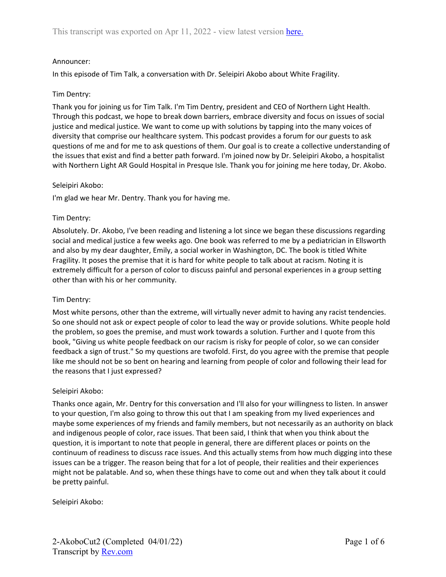### Announcer:

In this episode of Tim Talk, a conversation with Dr. Seleipiri Akobo about White Fragility.

### Tim Dentry:

Thank you for joining us for Tim Talk. I'm Tim Dentry, president and CEO of Northern Light Health. Through this podcast, we hope to break down barriers, embrace diversity and focus on issues of social justice and medical justice. We want to come up with solutions by tapping into the many voices of diversity that comprise our healthcare system. This podcast provides a forum for our guests to ask questions of me and for me to ask questions of them. Our goal is to create a collective understanding of the issues that exist and find a better path forward. I'm joined now by Dr. Seleipiri Akobo, a hospitalist with Northern Light AR Gould Hospital in Presque Isle. Thank you for joining me here today, Dr. Akobo.

### Seleipiri Akobo:

I'm glad we hear Mr. Dentry. Thank you for having me.

### Tim Dentry:

Absolutely. Dr. Akobo, I've been reading and listening a lot since we began these discussions regarding social and medical justice a few weeks ago. One book was referred to me by a pediatrician in Ellsworth and also by my dear daughter, Emily, a social worker in Washington, DC. The book is titled White Fragility. It poses the premise that it is hard for white people to talk about at racism. Noting it is extremely difficult for a person of color to discuss painful and personal experiences in a group setting other than with his or her community.

### Tim Dentry:

Most white persons, other than the extreme, will virtually never admit to having any racist tendencies. So one should not ask or expect people of color to lead the way or provide solutions. White people hold the problem, so goes the premise, and must work towards a solution. Further and I quote from this book, "Giving us white people feedback on our racism is risky for people of color, so we can consider feedback a sign of trust." So my questions are twofold. First, do you agree with the premise that people like me should not be so bent on hearing and learning from people of color and following their lead for the reasons that I just expressed?

### Seleipiri Akobo:

Thanks once again, Mr. Dentry for this conversation and I'll also for your willingness to listen. In answer to your question, I'm also going to throw this out that I am speaking from my lived experiences and maybe some experiences of my friends and family members, but not necessarily as an authority on black and indigenous people of color, race issues. That been said, I think that when you think about the question, it is important to note that people in general, there are different places or points on the continuum of readiness to discuss race issues. And this actually stems from how much digging into these issues can be a trigger. The reason being that for a lot of people, their realities and their experiences might not be palatable. And so, when these things have to come out and when they talk about it could be pretty painful.

Seleipiri Akobo: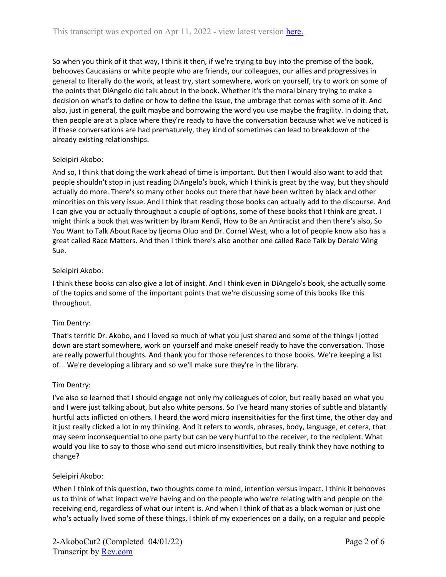So when you think of it that way, I think it then, if we're trying to buy into the premise of the book, behooves Caucasians or white people who are friends, our colleagues, our allies and progressives in general to literally do the work, at least try, start somewhere, work on yourself, try to work on some of the points that DiAngelo did talk about in the book. Whether it's the moral binary trying to make a decision on what's to define or how to define the issue, the umbrage that comes with some of it. And also, just in general, the guilt maybe and borrowing the word you use maybe the fragility. In doing that, then people are at a place where they're ready to have the conversation because what we've noticed is if these conversations are had prematurely, they kind of sometimes can lead to breakdown of the already existing relationships.

## Seleipiri Akobo:

And so, I think that doing the work ahead of time is important. But then I would also want to add that people shouldn't stop in just reading DiAngelo's book, which I think is great by the way, but they should actually do more. There's so many other books out there that have been written by black and other minorities on this very issue. And I think that reading those books can actually add to the discourse. And I can give you or actually throughout a couple of options, some of these books that I think are great. I might think a book that was written by Ibram Kendi, How to Be an Antiracist and then there's also, So You Want to Talk About Race by Ijeoma Oluo and Dr. Cornel West, who a lot of people know also has a great called Race Matters. And then I think there's also another one called Race Talk by Derald Wing Sue.

# Seleipiri Akobo:

I think these books can also give a lot of insight. And I think even in DiAngelo's book, she actually some of the topics and some of the important points that we're discussing some of this books like this throughout.

## Tim Dentry:

That's terrific Dr. Akobo, and I loved so much of what you just shared and some of the things I jotted down are start somewhere, work on yourself and make oneself ready to have the conversation. Those are really powerful thoughts. And thank you for those references to those books. We're keeping a list of... We're developing a library and so we'll make sure they're in the library.

## Tim Dentry:

I've also so learned that I should engage not only my colleagues of color, but really based on what you and I were just talking about, but also white persons. So I've heard many stories of subtle and blatantly hurtful acts inflicted on others. I heard the word micro insensitivities for the first time, the other day and it just really clicked a lot in my thinking. And it refers to words, phrases, body, language, et cetera, that may seem inconsequential to one party but can be very hurtful to the receiver, to the recipient. What would you like to say to those who send out micro insensitivities, but really think they have nothing to change?

## Seleipiri Akobo:

When I think of this question, two thoughts come to mind, intention versus impact. I think it behooves us to think of what impact we're having and on the people who we're relating with and people on the receiving end, regardless of what our intent is. And when I think of that as a black woman or just one who's actually lived some of these things, I think of my experiences on a daily, on a regular and people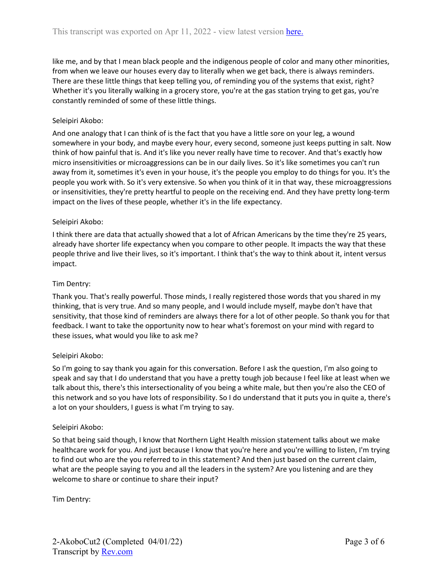like me, and by that I mean black people and the indigenous people of color and many other minorities, from when we leave our houses every day to literally when we get back, there is always reminders. There are these little things that keep telling you, of reminding you of the systems that exist, right? Whether it's you literally walking in a grocery store, you're at the gas station trying to get gas, you're constantly reminded of some of these little things.

## Seleipiri Akobo:

And one analogy that I can think of is the fact that you have a little sore on your leg, a wound somewhere in your body, and maybe every hour, every second, someone just keeps putting in salt. Now think of how painful that is. And it's like you never really have time to recover. And that's exactly how micro insensitivities or microaggressions can be in our daily lives. So it's like sometimes you can't run away from it, sometimes it's even in your house, it's the people you employ to do things for you. It's the people you work with. So it's very extensive. So when you think of it in that way, these microaggressions or insensitivities, they're pretty heartful to people on the receiving end. And they have pretty long-term impact on the lives of these people, whether it's in the life expectancy.

### Seleipiri Akobo:

I think there are data that actually showed that a lot of African Americans by the time they're 25 years, already have shorter life expectancy when you compare to other people. It impacts the way that these people thrive and live their lives, so it's important. I think that's the way to think about it, intent versus impact.

### Tim Dentry:

Thank you. That's really powerful. Those minds, I really registered those words that you shared in my thinking, that is very true. And so many people, and I would include myself, maybe don't have that sensitivity, that those kind of reminders are always there for a lot of other people. So thank you for that feedback. I want to take the opportunity now to hear what's foremost on your mind with regard to these issues, what would you like to ask me?

### Seleipiri Akobo:

So I'm going to say thank you again for this conversation. Before I ask the question, I'm also going to speak and say that I do understand that you have a pretty tough job because I feel like at least when we talk about this, there's this intersectionality of you being a white male, but then you're also the CEO of this network and so you have lots of responsibility. So I do understand that it puts you in quite a, there's a lot on your shoulders, I guess is what I'm trying to say.

### Seleipiri Akobo:

So that being said though, I know that Northern Light Health mission statement talks about we make healthcare work for you. And just because I know that you're here and you're willing to listen, I'm trying to find out who are the you referred to in this statement? And then just based on the current claim, what are the people saying to you and all the leaders in the system? Are you listening and are they welcome to share or continue to share their input?

Tim Dentry: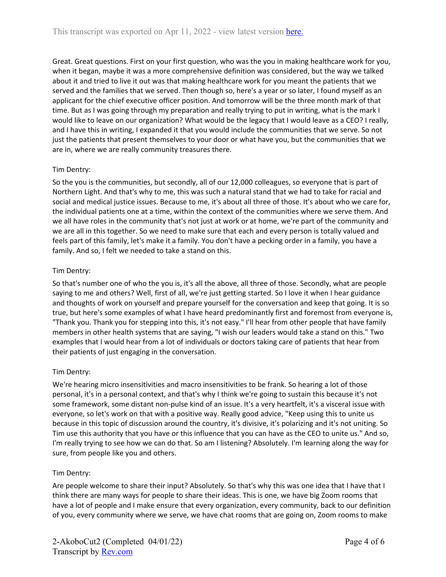Great. Great questions. First on your first question, who was the you in making healthcare work for you, when it began, maybe it was a more comprehensive definition was considered, but the way we talked about it and tried to live it out was that making healthcare work for you meant the patients that we served and the families that we served. Then though so, here's a year or so later, I found myself as an applicant for the chief executive officer position. And tomorrow will be the three month mark of that time. But as I was going through my preparation and really trying to put in writing, what is the mark I would like to leave on our organization? What would be the legacy that I would leave as a CEO? I really, and I have this in writing, I expanded it that you would include the communities that we serve. So not just the patients that present themselves to your door or what have you, but the communities that we are in, where we are really community treasures there.

## Tim Dentry:

So the you is the communities, but secondly, all of our 12,000 colleagues, so everyone that is part of Northern Light. And that's why to me, this was such a natural stand that we had to take for racial and social and medical justice issues. Because to me, it's about all three of those. It's about who we care for, the individual patients one at a time, within the context of the communities where we serve them. And we all have roles in the community that's not just at work or at home, we're part of the community and we are all in this together. So we need to make sure that each and every person is totally valued and feels part of this family, let's make it a family. You don't have a pecking order in a family, you have a family. And so, I felt we needed to take a stand on this.

### Tim Dentry:

So that's number one of who the you is, it's all the above, all three of those. Secondly, what are people saying to me and others? Well, first of all, we're just getting started. So I love it when I hear guidance and thoughts of work on yourself and prepare yourself for the conversation and keep that going. It is so true, but here's some examples of what I have heard predominantly first and foremost from everyone is, "Thank you. Thank you for stepping into this, it's not easy." I'll hear from other people that have family members in other health systems that are saying, "I wish our leaders would take a stand on this." Two examples that I would hear from a lot of individuals or doctors taking care of patients that hear from their patients of just engaging in the conversation.

## Tim Dentry:

We're hearing micro insensitivities and macro insensitivities to be frank. So hearing a lot of those personal, it's in a personal context, and that's why I think we're going to sustain this because it's not some framework, some distant non-pulse kind of an issue. It's a very heartfelt, it's a visceral issue with everyone, so let's work on that with a positive way. Really good advice, "Keep using this to unite us because in this topic of discussion around the country, it's divisive, it's polarizing and it's not uniting. So Tim use this authority that you have or this influence that you can have as the CEO to unite us." And so, I'm really trying to see how we can do that. So am I listening? Absolutely. I'm learning along the way for sure, from people like you and others.

## Tim Dentry:

Are people welcome to share their input? Absolutely. So that's why this was one idea that I have that I think there are many ways for people to share their ideas. This is one, we have big Zoom rooms that have a lot of people and I make ensure that every organization, every community, back to our definition of you, every community where we serve, we have chat rooms that are going on, Zoom rooms to make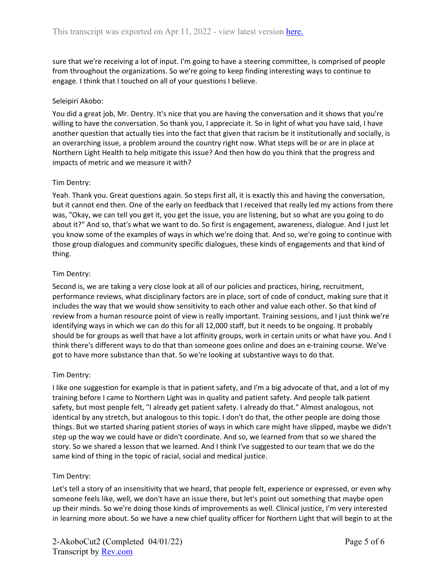sure that we're receiving a lot of input. I'm going to have a steering committee, is comprised of people from throughout the organizations. So we're going to keep finding interesting ways to continue to engage. I think that I touched on all of your questions I believe.

### Seleipiri Akobo:

You did a great job, Mr. Dentry. It's nice that you are having the conversation and it shows that you're willing to have the conversation. So thank you, I appreciate it. So in light of what you have said, I have another question that actually ties into the fact that given that racism be it institutionally and socially, is an overarching issue, a problem around the country right now. What steps will be or are in place at Northern Light Health to help mitigate this issue? And then how do you think that the progress and impacts of metric and we measure it with?

### Tim Dentry:

Yeah. Thank you. Great questions again. So steps first all, it is exactly this and having the conversation, but it cannot end then. One of the early on feedback that I received that really led my actions from there was, "Okay, we can tell you get it, you get the issue, you are listening, but so what are you going to do about it?" And so, that's what we want to do. So first is engagement, awareness, dialogue. And I just let you know some of the examples of ways in which we're doing that. And so, we're going to continue with those group dialogues and community specific dialogues, these kinds of engagements and that kind of thing.

### Tim Dentry:

Second is, we are taking a very close look at all of our policies and practices, hiring, recruitment, performance reviews, what disciplinary factors are in place, sort of code of conduct, making sure that it includes the way that we would show sensitivity to each other and value each other. So that kind of review from a human resource point of view is really important. Training sessions, and I just think we're identifying ways in which we can do this for all 12,000 staff, but it needs to be ongoing. It probably should be for groups as well that have a lot affinity groups, work in certain units or what have you. And I think there's different ways to do that than someone goes online and does an e-training course. We've got to have more substance than that. So we're looking at substantive ways to do that.

### Tim Dentry:

I like one suggestion for example is that in patient safety, and I'm a big advocate of that, and a lot of my training before I came to Northern Light was in quality and patient safety. And people talk patient safety, but most people felt, "I already get patient safety. I already do that." Almost analogous, not identical by any stretch, but analogous to this topic. I don't do that, the other people are doing those things. But we started sharing patient stories of ways in which care might have slipped, maybe we didn't step up the way we could have or didn't coordinate. And so, we learned from that so we shared the story. So we shared a lesson that we learned. And I think I've suggested to our team that we do the same kind of thing in the topic of racial, social and medical justice.

### Tim Dentry:

Let's tell a story of an insensitivity that we heard, that people felt, experience or expressed, or even why someone feels like, well, we don't have an issue there, but let's point out something that maybe open up their minds. So we're doing those kinds of improvements as well. Clinical justice, I'm very interested in learning more about. So we have a new chief quality officer for Northern Light that will begin to at the